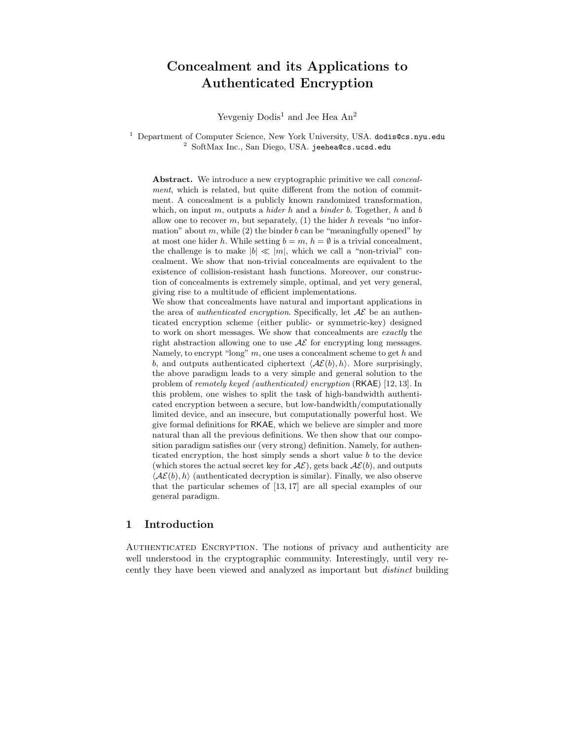# Concealment and its Applications to Authenticated Encryption

Yevgeniy Dodis<sup>1</sup> and Jee Hea  $An^2$ 

<sup>1</sup> Department of Computer Science, New York University, USA. dodis@cs.nyu.edu <sup>2</sup> SoftMax Inc., San Diego, USA. jeehea@cs.ucsd.edu

Abstract. We introduce a new cryptographic primitive we call *conceal*ment, which is related, but quite different from the notion of commitment. A concealment is a publicly known randomized transformation, which, on input  $m$ , outputs a *hider*  $h$  and a *binder*  $b$ . Together,  $h$  and  $b$ allow one to recover  $m$ , but separately, (1) the hider  $h$  reveals "no information" about  $m$ , while (2) the binder  $b$  can be "meaningfully opened" by at most one hider h. While setting  $b = m$ ,  $h = \emptyset$  is a trivial concealment, the challenge is to make  $|b| \ll |m|$ , which we call a "non-trivial" concealment. We show that non-trivial concealments are equivalent to the existence of collision-resistant hash functions. Moreover, our construction of concealments is extremely simple, optimal, and yet very general, giving rise to a multitude of efficient implementations.

We show that concealments have natural and important applications in the area of *authenticated encryption*. Specifically, let  $A\mathcal{E}$  be an authenticated encryption scheme (either public- or symmetric-key) designed to work on short messages. We show that concealments are exactly the right abstraction allowing one to use  $A\mathcal{E}$  for encrypting long messages. Namely, to encrypt "long"  $m$ , one uses a concealment scheme to get  $h$  and b, and outputs authenticated ciphertext  $\langle \mathcal{A}\mathcal{E}(b), h \rangle$ . More surprisingly, the above paradigm leads to a very simple and general solution to the problem of remotely keyed (authenticated) encryption (RKAE) [12, 13]. In this problem, one wishes to split the task of high-bandwidth authenticated encryption between a secure, but low-bandwidth/computationally limited device, and an insecure, but computationally powerful host. We give formal definitions for RKAE, which we believe are simpler and more natural than all the previous definitions. We then show that our composition paradigm satisfies our (very strong) definition. Namely, for authenticated encryption, the host simply sends a short value b to the device (which stores the actual secret key for  $\mathcal{AE}$ ), gets back  $\mathcal{AE}(b)$ , and outputs  $\langle \mathcal{A}\mathcal{E}(b), h \rangle$  (authenticated decryption is similar). Finally, we also observe that the particular schemes of [13, 17] are all special examples of our general paradigm.

# 1 Introduction

Authenticated Encryption. The notions of privacy and authenticity are well understood in the cryptographic community. Interestingly, until very recently they have been viewed and analyzed as important but distinct building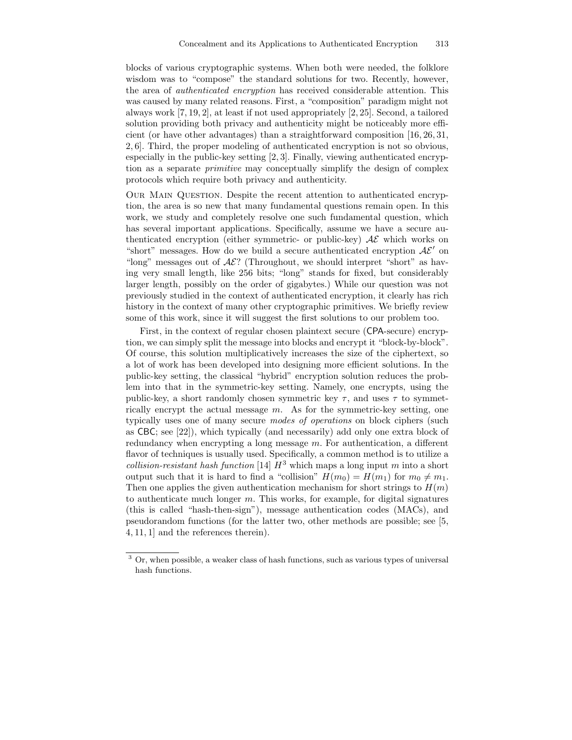blocks of various cryptographic systems. When both were needed, the folklore wisdom was to "compose" the standard solutions for two. Recently, however, the area of authenticated encryption has received considerable attention. This was caused by many related reasons. First, a "composition" paradigm might not always work [7, 19, 2], at least if not used appropriately [2, 25]. Second, a tailored solution providing both privacy and authenticity might be noticeably more efficient (or have other advantages) than a straightforward composition [16, 26, 31, 2, 6]. Third, the proper modeling of authenticated encryption is not so obvious, especially in the public-key setting  $[2, 3]$ . Finally, viewing authenticated encryption as a separate primitive may conceptually simplify the design of complex protocols which require both privacy and authenticity.

Our Main Question. Despite the recent attention to authenticated encryption, the area is so new that many fundamental questions remain open. In this work, we study and completely resolve one such fundamental question, which has several important applications. Specifically, assume we have a secure authenticated encryption (either symmetric- or public-key)  $\mathcal{AE}$  which works on "short" messages. How do we build a secure authenticated encryption  $A\mathcal{E}'$  on "long" messages out of  $A\mathcal{E}$ ? (Throughout, we should interpret "short" as having very small length, like 256 bits; "long" stands for fixed, but considerably larger length, possibly on the order of gigabytes.) While our question was not previously studied in the context of authenticated encryption, it clearly has rich history in the context of many other cryptographic primitives. We briefly review some of this work, since it will suggest the first solutions to our problem too.

First, in the context of regular chosen plaintext secure (CPA-secure) encryption, we can simply split the message into blocks and encrypt it "block-by-block". Of course, this solution multiplicatively increases the size of the ciphertext, so a lot of work has been developed into designing more efficient solutions. In the public-key setting, the classical "hybrid" encryption solution reduces the problem into that in the symmetric-key setting. Namely, one encrypts, using the public-key, a short randomly chosen symmetric key  $\tau$ , and uses  $\tau$  to symmetrically encrypt the actual message  $m$ . As for the symmetric-key setting, one typically uses one of many secure modes of operations on block ciphers (such as CBC; see [22]), which typically (and necessarily) add only one extra block of redundancy when encrypting a long message  $m$ . For authentication, a different flavor of techniques is usually used. Specifically, a common method is to utilize a collision-resistant hash function [14]  $H^3$  which maps a long input m into a short output such that it is hard to find a "collision"  $H(m_0) = H(m_1)$  for  $m_0 \neq m_1$ . Then one applies the given authentication mechanism for short strings to  $H(m)$ to authenticate much longer  $m$ . This works, for example, for digital signatures (this is called "hash-then-sign"), message authentication codes (MACs), and pseudorandom functions (for the latter two, other methods are possible; see [5, 4, 11, 1] and the references therein).

<sup>&</sup>lt;sup>3</sup> Or, when possible, a weaker class of hash functions, such as various types of universal hash functions.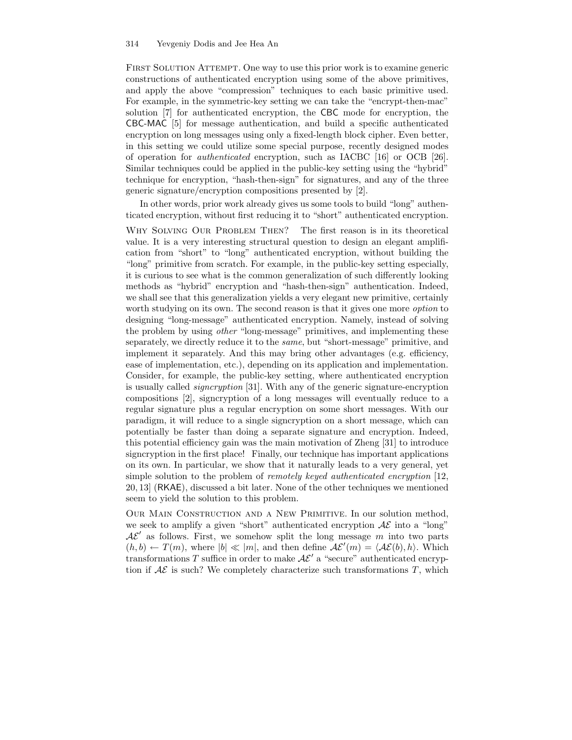First Solution Attempt. One way to use this prior work is to examine generic constructions of authenticated encryption using some of the above primitives, and apply the above "compression" techniques to each basic primitive used. For example, in the symmetric-key setting we can take the "encrypt-then-mac" solution [7] for authenticated encryption, the CBC mode for encryption, the CBC-MAC [5] for message authentication, and build a specific authenticated encryption on long messages using only a fixed-length block cipher. Even better, in this setting we could utilize some special purpose, recently designed modes of operation for authenticated encryption, such as IACBC [16] or OCB [26]. Similar techniques could be applied in the public-key setting using the "hybrid" technique for encryption, "hash-then-sign" for signatures, and any of the three generic signature/encryption compositions presented by [2].

In other words, prior work already gives us some tools to build "long" authenticated encryption, without first reducing it to "short" authenticated encryption.

WHY SOLVING OUR PROBLEM THEN? The first reason is in its theoretical value. It is a very interesting structural question to design an elegant amplification from "short" to "long" authenticated encryption, without building the "long" primitive from scratch. For example, in the public-key setting especially, it is curious to see what is the common generalization of such differently looking methods as "hybrid" encryption and "hash-then-sign" authentication. Indeed, we shall see that this generalization yields a very elegant new primitive, certainly worth studying on its own. The second reason is that it gives one more *option* to designing "long-message" authenticated encryption. Namely, instead of solving the problem by using other "long-message" primitives, and implementing these separately, we directly reduce it to the same, but "short-message" primitive, and implement it separately. And this may bring other advantages (e.g. efficiency, ease of implementation, etc.), depending on its application and implementation. Consider, for example, the public-key setting, where authenticated encryption is usually called signcryption [31]. With any of the generic signature-encryption compositions [2], signcryption of a long messages will eventually reduce to a regular signature plus a regular encryption on some short messages. With our paradigm, it will reduce to a single signcryption on a short message, which can potentially be faster than doing a separate signature and encryption. Indeed, this potential efficiency gain was the main motivation of Zheng [31] to introduce signcryption in the first place! Finally, our technique has important applications on its own. In particular, we show that it naturally leads to a very general, yet simple solution to the problem of *remotely keyed authenticated encryption* [12, 20, 13] (RKAE), discussed a bit later. None of the other techniques we mentioned seem to yield the solution to this problem.

Our Main Construction and a New Primitive. In our solution method, we seek to amplify a given "short" authenticated encryption  $\mathcal{AE}$  into a "long"  $\mathcal{AE}'$  as follows. First, we somehow split the long message m into two parts  $(h, b) \leftarrow T(m)$ , where  $|b| \ll |m|$ , and then define  $\mathcal{AE}'(m) = \langle \mathcal{AE}(b), h \rangle$ . Which transformations T suffice in order to make  $\mathcal{AE}'$  a "secure" authenticated encryption if  $A\mathcal{E}$  is such? We completely characterize such transformations T, which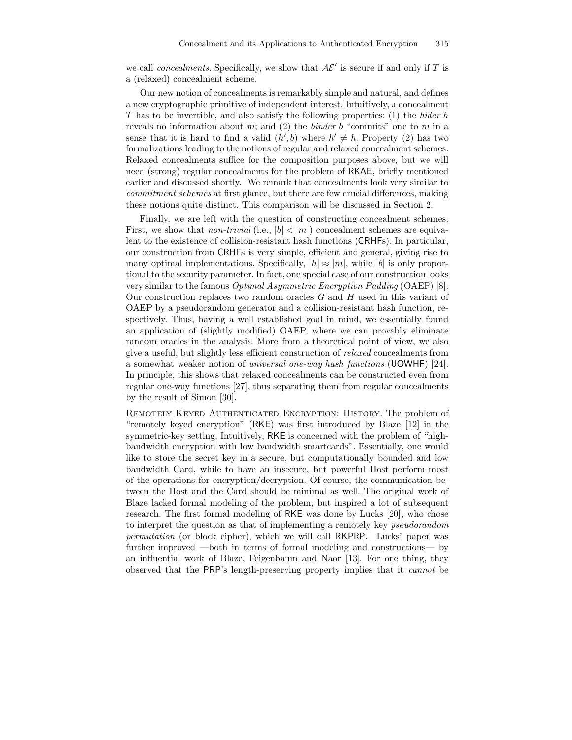we call *concealments*. Specifically, we show that  $AE'$  is secure if and only if T is a (relaxed) concealment scheme.

Our new notion of concealments is remarkably simple and natural, and defines a new cryptographic primitive of independent interest. Intuitively, a concealment T has to be invertible, and also satisfy the following properties: (1) the *hider* h reveals no information about m; and  $(2)$  the *binder b* "commits" one to m in a sense that it is hard to find a valid  $(h', b)$  where  $h' \neq h$ . Property (2) has two formalizations leading to the notions of regular and relaxed concealment schemes. Relaxed concealments suffice for the composition purposes above, but we will need (strong) regular concealments for the problem of RKAE, briefly mentioned earlier and discussed shortly. We remark that concealments look very similar to commitment schemes at first glance, but there are few crucial differences, making these notions quite distinct. This comparison will be discussed in Section 2.

Finally, we are left with the question of constructing concealment schemes. First, we show that *non-trivial* (i.e.,  $|b| < |m|$ ) concealment schemes are equivalent to the existence of collision-resistant hash functions (CRHFs). In particular, our construction from CRHFs is very simple, efficient and general, giving rise to many optimal implementations. Specifically,  $|h| \approx |m|$ , while  $|b|$  is only proportional to the security parameter. In fact, one special case of our construction looks very similar to the famous Optimal Asymmetric Encryption Padding (OAEP) [8]. Our construction replaces two random oracles  $G$  and  $H$  used in this variant of OAEP by a pseudorandom generator and a collision-resistant hash function, respectively. Thus, having a well established goal in mind, we essentially found an application of (slightly modified) OAEP, where we can provably eliminate random oracles in the analysis. More from a theoretical point of view, we also give a useful, but slightly less efficient construction of relaxed concealments from a somewhat weaker notion of universal one-way hash functions (UOWHF) [24]. In principle, this shows that relaxed concealments can be constructed even from regular one-way functions [27], thus separating them from regular concealments by the result of Simon [30].

Remotely Keyed Authenticated Encryption: History. The problem of "remotely keyed encryption" (RKE) was first introduced by Blaze [12] in the symmetric-key setting. Intuitively, RKE is concerned with the problem of "highbandwidth encryption with low bandwidth smartcards". Essentially, one would like to store the secret key in a secure, but computationally bounded and low bandwidth Card, while to have an insecure, but powerful Host perform most of the operations for encryption/decryption. Of course, the communication between the Host and the Card should be minimal as well. The original work of Blaze lacked formal modeling of the problem, but inspired a lot of subsequent research. The first formal modeling of RKE was done by Lucks [20], who chose to interpret the question as that of implementing a remotely key pseudorandom permutation (or block cipher), which we will call RKPRP. Lucks' paper was further improved —both in terms of formal modeling and constructions— by an influential work of Blaze, Feigenbaum and Naor [13]. For one thing, they observed that the PRP's length-preserving property implies that it cannot be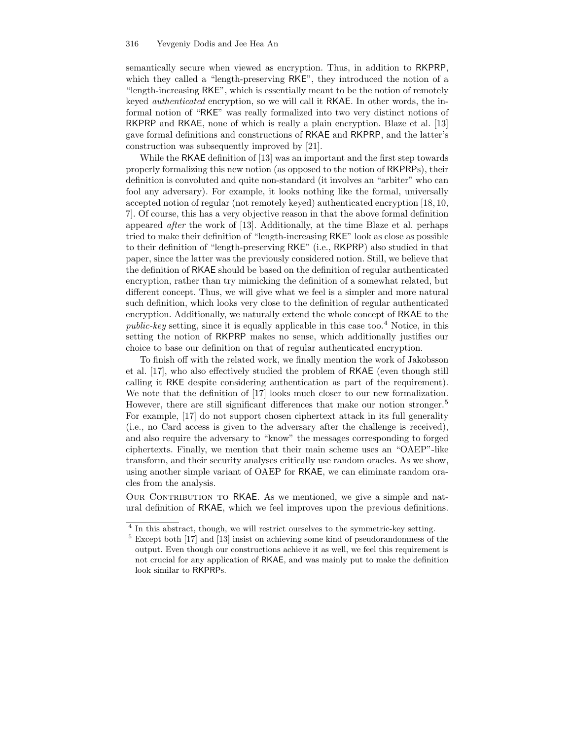semantically secure when viewed as encryption. Thus, in addition to RKPRP, which they called a "length-preserving RKE", they introduced the notion of a "length-increasing RKE", which is essentially meant to be the notion of remotely keyed authenticated encryption, so we will call it RKAE. In other words, the informal notion of "RKE" was really formalized into two very distinct notions of RKPRP and RKAE, none of which is really a plain encryption. Blaze et al. [13] gave formal definitions and constructions of RKAE and RKPRP, and the latter's construction was subsequently improved by [21].

While the RKAE definition of [13] was an important and the first step towards properly formalizing this new notion (as opposed to the notion of RKPRPs), their definition is convoluted and quite non-standard (it involves an "arbiter" who can fool any adversary). For example, it looks nothing like the formal, universally accepted notion of regular (not remotely keyed) authenticated encryption [18, 10, 7]. Of course, this has a very objective reason in that the above formal definition appeared after the work of [13]. Additionally, at the time Blaze et al. perhaps tried to make their definition of "length-increasing RKE" look as close as possible to their definition of "length-preserving RKE" (i.e., RKPRP) also studied in that paper, since the latter was the previously considered notion. Still, we believe that the definition of RKAE should be based on the definition of regular authenticated encryption, rather than try mimicking the definition of a somewhat related, but different concept. Thus, we will give what we feel is a simpler and more natural such definition, which looks very close to the definition of regular authenticated encryption. Additionally, we naturally extend the whole concept of RKAE to the *public-key* setting, since it is equally applicable in this case too.<sup>4</sup> Notice, in this setting the notion of RKPRP makes no sense, which additionally justifies our choice to base our definition on that of regular authenticated encryption.

To finish off with the related work, we finally mention the work of Jakobsson et al. [17], who also effectively studied the problem of RKAE (even though still calling it RKE despite considering authentication as part of the requirement). We note that the definition of [17] looks much closer to our new formalization. However, there are still significant differences that make our notion stronger.<sup>5</sup> For example, [17] do not support chosen ciphertext attack in its full generality (i.e., no Card access is given to the adversary after the challenge is received), and also require the adversary to "know" the messages corresponding to forged ciphertexts. Finally, we mention that their main scheme uses an "OAEP"-like transform, and their security analyses critically use random oracles. As we show, using another simple variant of OAEP for RKAE, we can eliminate random oracles from the analysis.

OUR CONTRIBUTION TO RKAE. As we mentioned, we give a simple and natural definition of RKAE, which we feel improves upon the previous definitions.

<sup>&</sup>lt;sup>4</sup> In this abstract, though, we will restrict ourselves to the symmetric-key setting.

 $^5$  Except both  $\left[ 17\right]$  and  $\left[ 13\right]$  insist on achieving some kind of pseudorandomness of the output. Even though our constructions achieve it as well, we feel this requirement is not crucial for any application of RKAE, and was mainly put to make the definition look similar to RKPRPs.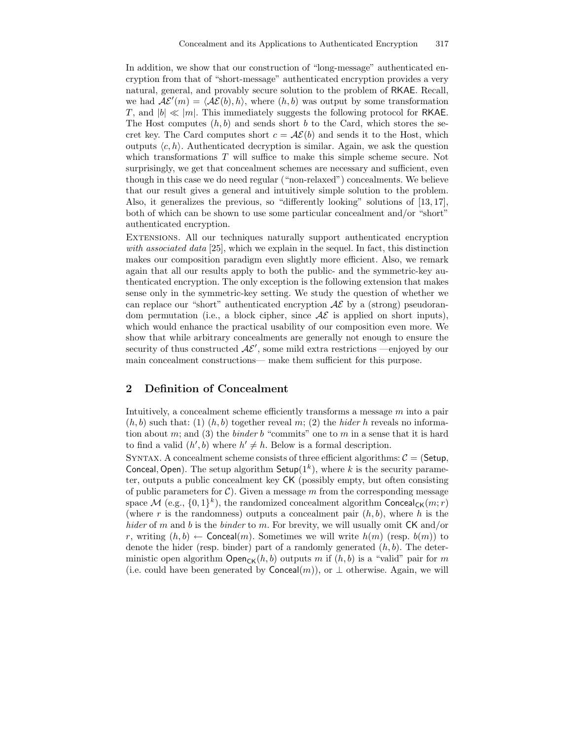In addition, we show that our construction of "long-message" authenticated encryption from that of "short-message" authenticated encryption provides a very natural, general, and provably secure solution to the problem of RKAE. Recall, we had  $A\mathcal{E}'(m) = \langle A\mathcal{E}(b), h \rangle$ , where  $(h, b)$  was output by some transformation T, and  $|b| \ll |m|$ . This immediately suggests the following protocol for RKAE. The Host computes  $(h, b)$  and sends short b to the Card, which stores the secret key. The Card computes short  $c = \mathcal{AE}(b)$  and sends it to the Host, which outputs  $\langle c, h \rangle$ . Authenticated decryption is similar. Again, we ask the question which transformations T will suffice to make this simple scheme secure. Not surprisingly, we get that concealment schemes are necessary and sufficient, even though in this case we do need regular ("non-relaxed") concealments. We believe that our result gives a general and intuitively simple solution to the problem. Also, it generalizes the previous, so "differently looking" solutions of [13, 17], both of which can be shown to use some particular concealment and/or "short" authenticated encryption.

Extensions. All our techniques naturally support authenticated encryption with associated data [25], which we explain in the sequel. In fact, this distinction makes our composition paradigm even slightly more efficient. Also, we remark again that all our results apply to both the public- and the symmetric-key authenticated encryption. The only exception is the following extension that makes sense only in the symmetric-key setting. We study the question of whether we can replace our "short" authenticated encryption  $\mathcal{AE}$  by a (strong) pseudorandom permutation (i.e., a block cipher, since  $\mathcal{A}\mathcal{E}$  is applied on short inputs), which would enhance the practical usability of our composition even more. We show that while arbitrary concealments are generally not enough to ensure the security of thus constructed  $A\mathcal{E}'$ , some mild extra restrictions —enjoyed by our main concealment constructions— make them sufficient for this purpose.

## 2 Definition of Concealment

Intuitively, a concealment scheme efficiently transforms a message  $m$  into a pair  $(h, b)$  such that: (1)  $(h, b)$  together reveal m; (2) the hider h reveals no information about m; and (3) the *binder b* "commits" one to m in a sense that it is hard to find a valid  $(h', b)$  where  $h' \neq h$ . Below is a formal description.

SYNTAX. A concealment scheme consists of three efficient algorithms:  $C = ($ Setup, Conceal, Open). The setup algorithm  $\mathsf{Setup}(1^k)$ , where k is the security parameter, outputs a public concealment key CK (possibly empty, but often consisting of public parameters for  $\mathcal{C}$ ). Given a message m from the corresponding message space  $\mathcal{M}$  (e.g.,  $\{0,1\}^k$ ), the randomized concealment algorithm Conceal<sub>CK</sub> $(m;r)$ (where r is the randomness) outputs a concealment pair  $(h, b)$ , where h is the hider of m and b is the binder to m. For brevity, we will usually omit  $CK$  and/or r, writing  $(h, b) \leftarrow$  Conceal $(m)$ . Sometimes we will write  $h(m)$  (resp.  $b(m)$ ) to denote the hider (resp. binder) part of a randomly generated  $(h, b)$ . The deterministic open algorithm  $\mathsf{Open}_{\mathsf{CK}}(h, b)$  outputs m if  $(h, b)$  is a "valid" pair for m (i.e. could have been generated by  $\mathsf{Conceal}(m)$ ), or  $\perp$  otherwise. Again, we will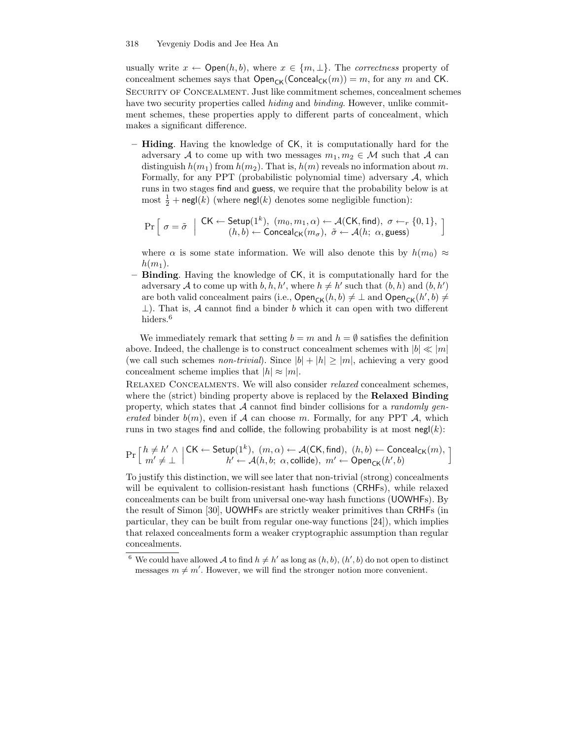#### 318 Yevgeniy Dodis and Jee Hea An

usually write  $x \leftarrow$  Open $(h, b)$ , where  $x \in \{m, \perp\}$ . The *correctness* property of concealment schemes says that  $Open_{CK}(Conceal_{CK}(m)) = m$ , for any m and CK. Security of Concealment. Just like commitment schemes, concealment schemes have two security properties called *hiding* and *binding*. However, unlike commitment schemes, these properties apply to different parts of concealment, which makes a significant difference.

– Hiding. Having the knowledge of CK, it is computationally hard for the adversary A to come up with two messages  $m_1, m_2 \in \mathcal{M}$  such that A can distinguish  $h(m_1)$  from  $h(m_2)$ . That is,  $h(m)$  reveals no information about m. Formally, for any PPT (probabilistic polynomial time) adversary  $A$ , which runs in two stages find and guess, we require that the probability below is at most  $\frac{1}{2}$  + negl(k) (where negl(k) denotes some negligible function):

$$
\Pr\Big[\begin{array}{c} \sigma = \tilde{\sigma} \end{array} \Big|\begin{array}{c} \mathsf{CK} \leftarrow \mathsf{Setup}(1^k), \ (m_0, m_1, \alpha) \leftarrow \mathcal{A}(\mathsf{CK}, \mathsf{find}), \ \sigma \leftarrow_r \{0, 1\}, \\ (h, b) \leftarrow \mathsf{Concealc}_\mathsf{KK}(m_\sigma), \ \tilde{\sigma} \leftarrow \mathcal{A}(h; \ \alpha, \mathsf{guess}) \end{array}\Big]
$$

where  $\alpha$  is some state information. We will also denote this by  $h(m_0) \approx$  $h(m_1)$ .

– Binding. Having the knowledge of CK, it is computationally hard for the adversary A to come up with  $b, h, h',$  where  $h \neq h'$  such that  $(b, h)$  and  $(b, h')$ are both valid concealment pairs (i.e.,  $\mathsf{Open}_{\mathsf{CK}}(h, b) \neq \bot$  and  $\mathsf{Open}_{\mathsf{CK}}(h', b) \neq \bot$  $\perp$ ). That is, A cannot find a binder b which it can open with two different hiders.<sup>6</sup>

We immediately remark that setting  $b = m$  and  $h = \emptyset$  satisfies the definition above. Indeed, the challenge is to construct concealment schemes with  $|b| \ll |m|$ (we call such schemes *non-trivial*). Since  $|b| + |h| \ge |m|$ , achieving a very good concealment scheme implies that  $|h| \approx |m|$ .

Relaxed Concealments. We will also consider relaxed concealment schemes, where the (strict) binding property above is replaced by the Relaxed Binding property, which states that  $A$  cannot find binder collisions for a *randomly gen*erated binder  $b(m)$ , even if A can choose m. Formally, for any PPT A, which runs in two stages find and collide, the following probability is at most  $negl(k)$ :

Pr h h 6= h <sup>0</sup> ∧ m<sup>0</sup> 6= ⊥ ¯ ¯ ¯ CK ← Setup(1<sup>k</sup> ), (m, α) ← A(CK, find), (h, b) ← ConcealCK(m), h <sup>0</sup> ← A(h, b; α, collide), m<sup>0</sup> ← OpenCK(h 0 , b) i

To justify this distinction, we will see later that non-trivial (strong) concealments will be equivalent to collision-resistant hash functions (CRHFs), while relaxed concealments can be built from universal one-way hash functions (UOWHFs). By the result of Simon [30], UOWHFs are strictly weaker primitives than CRHFs (in particular, they can be built from regular one-way functions [24]), which implies that relaxed concealments form a weaker cryptographic assumption than regular concealments.

<sup>&</sup>lt;sup>6</sup> We could have allowed A to find  $h \neq h'$  as long as  $(h, b)$ ,  $(h', b)$  do not open to distinct messages  $m \neq m'$ . However, we will find the stronger notion more convenient.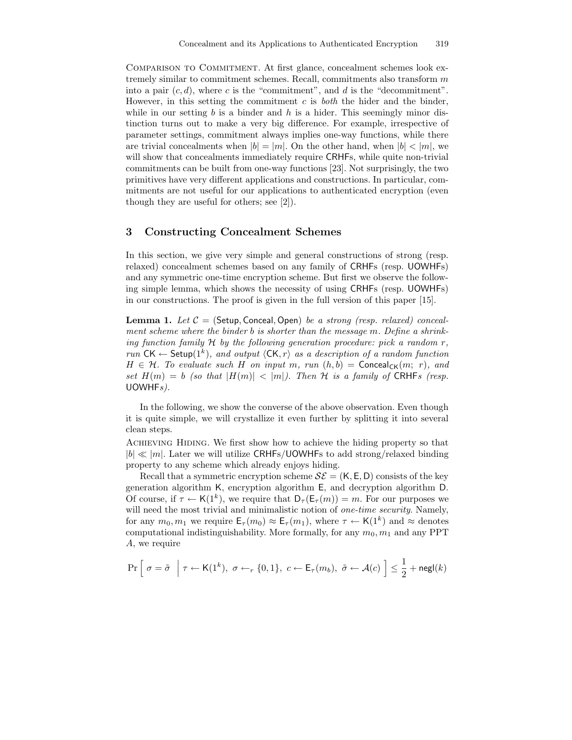Comparison to Commitment. At first glance, concealment schemes look extremely similar to commitment schemes. Recall, commitments also transform  $m$ into a pair  $(c, d)$ , where c is the "commitment", and d is the "decommitment". However, in this setting the commitment  $c$  is *both* the hider and the binder, while in our setting  $b$  is a binder and  $h$  is a hider. This seemingly minor distinction turns out to make a very big difference. For example, irrespective of parameter settings, commitment always implies one-way functions, while there are trivial concealments when  $|b| = |m|$ . On the other hand, when  $|b| < |m|$ , we will show that concealments immediately require CRHFs, while quite non-trivial commitments can be built from one-way functions [23]. Not surprisingly, the two primitives have very different applications and constructions. In particular, commitments are not useful for our applications to authenticated encryption (even though they are useful for others; see [2]).

# 3 Constructing Concealment Schemes

In this section, we give very simple and general constructions of strong (resp. relaxed) concealment schemes based on any family of CRHFs (resp. UOWHFs) and any symmetric one-time encryption scheme. But first we observe the following simple lemma, which shows the necessity of using CRHFs (resp. UOWHFs) in our constructions. The proof is given in the full version of this paper [15].

**Lemma 1.** Let  $C =$  (Setup, Conceal, Open) be a strong (resp. relaxed) concealment scheme where the binder b is shorter than the message m. Define a shrinking function family H by the following generation procedure: pick a random  $r$ , run  $CK \leftarrow$  Setup $(1^k)$ , and output  $\langle CK, r \rangle$  as a description of a random function  $H \in \mathcal{H}$ . To evaluate such H on input m, run  $(h, b) =$  Conceal<sub>CK</sub> $(m; r)$ , and set  $H(m) = b$  (so that  $|H(m)| < |m|$ ). Then H is a family of CRHFs (resp. UOWHE $s$ ).

In the following, we show the converse of the above observation. Even though it is quite simple, we will crystallize it even further by splitting it into several clean steps.

Achieving Hiding. We first show how to achieve the hiding property so that  $|b| \ll |m|$ . Later we will utilize CRHFs/UOWHFs to add strong/relaxed binding property to any scheme which already enjoys hiding.

Recall that a symmetric encryption scheme  $\mathcal{SE} = (K, E, D)$  consists of the key generation algorithm K, encryption algorithm E, and decryption algorithm D. Of course, if  $\tau \leftarrow K(1^k)$ , we require that  $D_{\tau}(\mathsf{E}_{\tau}(m)) = m$ . For our purposes we will need the most trivial and minimalistic notion of *one-time security*. Namely, for any  $m_0, m_1$  we require  $\mathsf{E}_{\tau}(m_0) \approx \mathsf{E}_{\tau}(m_1)$ , where  $\tau \leftarrow \mathsf{K}(1^k)$  and  $\approx$  denotes computational indistinguishability. More formally, for any  $m_0, m_1$  and any PPT A, we require

$$
\Pr\left[\right.\sigma=\tilde{\sigma}\:\:\left|\right.\tau\leftarrow\mathsf{K}(1^k),\:\sigma\leftarrow_r \{0,1\},\:\:c\leftarrow\mathsf{E}_{\tau}(m_b),\:\tilde{\sigma}\leftarrow\mathcal{A}(c)\:\right]\leq\frac{1}{2}+\mathsf{negl}(k)
$$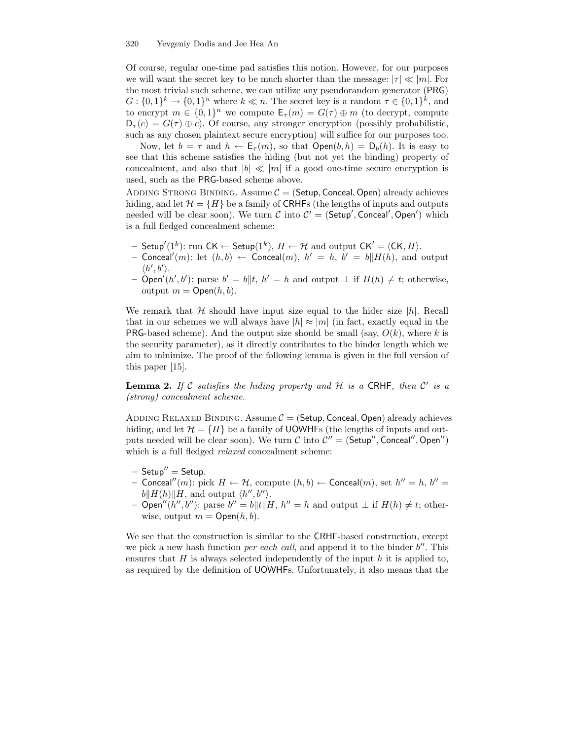Of course, regular one-time pad satisfies this notion. However, for our purposes we will want the secret key to be much shorter than the message:  $|\tau| \ll |m|$ . For the most trivial such scheme, we can utilize any pseudorandom generator (PRG)  $G: \{0,1\}^k \to \{0,1\}^n$  where  $k \ll n$ . The secret key is a random  $\tau \in \{0,1\}^k$ , and to encrypt  $m \in \{0,1\}^n$  we compute  $\mathsf{E}_{\tau}(m) = G(\tau) \oplus m$  (to decrypt, compute  $D_{\tau}(c) = G(\tau) \oplus c$ . Of course, any stronger encryption (possibly probabilistic, such as any chosen plaintext secure encryption) will suffice for our purposes too.

Now, let  $b = \tau$  and  $h \leftarrow \mathsf{E}_{\tau}(m)$ , so that  $\mathsf{Open}(b, h) = \mathsf{D}_{b}(h)$ . It is easy to see that this scheme satisfies the hiding (but not yet the binding) property of concealment, and also that  $|b| \ll |m|$  if a good one-time secure encryption is used, such as the PRG-based scheme above.

ADDING STRONG BINDING. Assume  $C = ($ Setup, Conceal, Open) already achieves hiding, and let  $\mathcal{H} = \{H\}$  be a family of CRHFs (the lengths of inputs and outputs needed will be clear soon). We turn  $C$  into  $C' = ($ Setup', Conceal', Open') which is a full fledged concealment scheme:

- Setup'(1<sup>k</sup>): run CK  $\leftarrow$  Setup(1<sup>k</sup>),  $H \leftarrow H$  and output CK' =  $\langle$ CK, H $\rangle$ .
- Conceal'(m): let  $(h, b)$  ← Conceal(m),  $h' = h$ ,  $b' = b||H(h)$ , and output  $\langle h', b' \rangle$ .
- Open<sup>'</sup>(h', b'): parse  $b' = b||t, h' = h$  and output ⊥ if  $H(h) \neq t$ ; otherwise, output  $m = \text{Open}(h, b)$ .

We remark that  $\mathcal H$  should have input size equal to the hider size  $|h|$ . Recall that in our schemes we will always have  $|h| \approx |m|$  (in fact, exactly equal in the **PRG-based scheme). And the output size should be small (say,**  $O(k)$ **, where k is** the security parameter), as it directly contributes to the binder length which we aim to minimize. The proof of the following lemma is given in the full version of this paper [15].

**Lemma 2.** If C satisfies the hiding property and  $H$  is a CRHF, then  $C'$  is a (strong) concealment scheme.

ADDING RELAXED BINDING. Assume  $\mathcal{C} = ($  Setup, Conceal, Open) already achieves hiding, and let  $\mathcal{H} = \{H\}$  be a family of UOWHFs (the lengths of inputs and outputs needed will be clear soon). We turn  $\mathcal C$  into  $\mathcal C'' = ($ Setup'', Conceal'', Open'') which is a full fledged relaxed concealment scheme:

- $-$  Setup" = Setup.
- Conceal"(m): pick  $H \leftarrow H$ , compute  $(h, b)$  ← Conceal(m), set  $h'' = h$ ,  $b'' =$  $b\|H(h)\|H$ , and output  $\langle h'', b'' \rangle$ .
- Open<sup>''</sup>(h'', b''): parse  $b'' = b||t||H$ ,  $h'' = h$  and output  $\perp$  if  $H(h) \neq t$ ; otherwise, output  $m = \text{Open}(h, b)$ .

We see that the construction is similar to the CRHF-based construction, except we pick a new hash function *per each call*, and append it to the binder  $b''$ . This ensures that  $H$  is always selected independently of the input  $h$  it is applied to, as required by the definition of UOWHFs. Unfortunately, it also means that the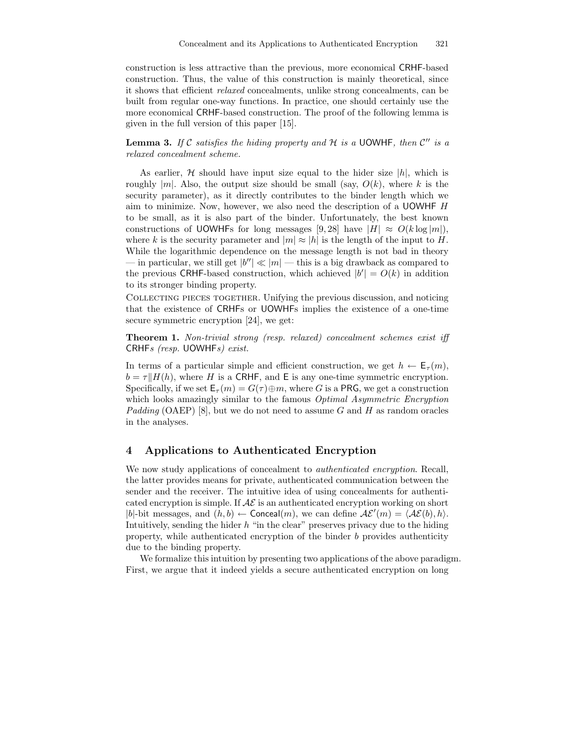construction is less attractive than the previous, more economical CRHF-based construction. Thus, the value of this construction is mainly theoretical, since it shows that efficient relaxed concealments, unlike strong concealments, can be built from regular one-way functions. In practice, one should certainly use the more economical CRHF-based construction. The proof of the following lemma is given in the full version of this paper [15].

**Lemma 3.** If C satisfies the hiding property and  $H$  is a UOWHF, then  $C''$  is a relaxed concealment scheme.

As earlier,  $\mathcal H$  should have input size equal to the hider size  $|h|$ , which is roughly |m|. Also, the output size should be small (say,  $O(k)$ , where k is the security parameter), as it directly contributes to the binder length which we aim to minimize. Now, however, we also need the description of a UOWHF  $H$ to be small, as it is also part of the binder. Unfortunately, the best known constructions of UOWHFs for long messages [9, 28] have  $|H| \approx O(k \log |m|)$ , where k is the security parameter and  $|m| \approx |h|$  is the length of the input to H. While the logarithmic dependence on the message length is not bad in theory — in particular, we still get  $|b''| \ll |m|$  — this is a big drawback as compared to the previous CRHF-based construction, which achieved  $|b'| = O(k)$  in addition to its stronger binding property.

COLLECTING PIECES TOGETHER. Unifying the previous discussion, and noticing that the existence of CRHFs or UOWHFs implies the existence of a one-time secure symmetric encryption [24], we get:

Theorem 1. Non-trivial strong (resp. relaxed) concealment schemes exist iff CRHFs (resp. UOWHFs) exist.

In terms of a particular simple and efficient construction, we get  $h \leftarrow \mathsf{E}_{\tau}(m)$ ,  $b = \tau || H(h)$ , where H is a CRHF, and E is any one-time symmetric encryption. Specifically, if we set  $\mathsf{E}_{\tau}(m) = G(\tau) \oplus m$ , where G is a PRG, we get a construction which looks amazingly similar to the famous *Optimal Asymmetric Encryption Padding* (OAEP) [8], but we do not need to assume G and H as random oracles in the analyses.

# 4 Applications to Authenticated Encryption

We now study applications of concealment to *authenticated encryption*. Recall, the latter provides means for private, authenticated communication between the sender and the receiver. The intuitive idea of using concealments for authenticated encryption is simple. If  $\mathcal{A}\mathcal{E}$  is an authenticated encryption working on short |b|-bit messages, and  $(h, b) \leftarrow$  Conceal $(m)$ , we can define  $A\mathcal{E}'(m) = \langle A\mathcal{E}(b), h \rangle$ . Intuitively, sending the hider  $h$  "in the clear" preserves privacy due to the hiding property, while authenticated encryption of the binder  $b$  provides authenticity due to the binding property.

We formalize this intuition by presenting two applications of the above paradigm. First, we argue that it indeed yields a secure authenticated encryption on long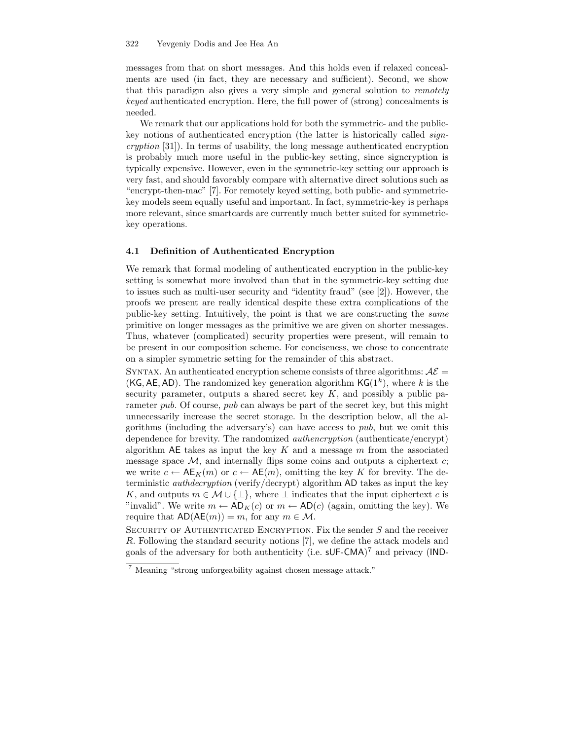#### 322 Yevgeniy Dodis and Jee Hea An

messages from that on short messages. And this holds even if relaxed concealments are used (in fact, they are necessary and sufficient). Second, we show that this paradigm also gives a very simple and general solution to remotely keyed authenticated encryption. Here, the full power of (strong) concealments is needed.

We remark that our applications hold for both the symmetric- and the publickey notions of authenticated encryption (the latter is historically called signcryption [31]). In terms of usability, the long message authenticated encryption is probably much more useful in the public-key setting, since signcryption is typically expensive. However, even in the symmetric-key setting our approach is very fast, and should favorably compare with alternative direct solutions such as "encrypt-then-mac" [7]. For remotely keyed setting, both public- and symmetrickey models seem equally useful and important. In fact, symmetric-key is perhaps more relevant, since smartcards are currently much better suited for symmetrickey operations.

#### 4.1 Definition of Authenticated Encryption

We remark that formal modeling of authenticated encryption in the public-key setting is somewhat more involved than that in the symmetric-key setting due to issues such as multi-user security and "identity fraud" (see [2]). However, the proofs we present are really identical despite these extra complications of the public-key setting. Intuitively, the point is that we are constructing the same primitive on longer messages as the primitive we are given on shorter messages. Thus, whatever (complicated) security properties were present, will remain to be present in our composition scheme. For conciseness, we chose to concentrate on a simpler symmetric setting for the remainder of this abstract.

SYNTAX. An authenticated encryption scheme consists of three algorithms:  $A\mathcal{E} =$  $(KG, AE, AD)$ . The randomized key generation algorithm  $KG(1<sup>k</sup>)$ , where k is the security parameter, outputs a shared secret key  $K$ , and possibly a public parameter pub. Of course, pub can always be part of the secret key, but this might unnecessarily increase the secret storage. In the description below, all the algorithms (including the adversary's) can have access to pub, but we omit this dependence for brevity. The randomized authencryption (authenticate/encrypt) algorithm AE takes as input the key  $K$  and a message  $m$  from the associated message space  $\mathcal{M}$ , and internally flips some coins and outputs a ciphertext  $c$ ; we write  $c \leftarrow \mathsf{AE}_K(m)$  or  $c \leftarrow \mathsf{AE}(m)$ , omitting the key K for brevity. The deterministic authdecryption (verify/decrypt) algorithm AD takes as input the key K, and outputs  $m \in \mathcal{M} \cup \{\perp\}$ , where  $\perp$  indicates that the input ciphertext c is "invalid". We write  $m \leftarrow \text{AD}_K(c)$  or  $m \leftarrow \text{AD}(c)$  (again, omitting the key). We require that  $AD(AE(m)) = m$ , for any  $m \in M$ .

SECURITY OF AUTHENTICATED ENCRYPTION. Fix the sender  $S$  and the receiver R. Following the standard security notions [7], we define the attack models and goals of the adversary for both authenticity (i.e.  $sUF-CMA$ )<sup>7</sup> and privacy (IND-

<sup>7</sup> Meaning "strong unforgeability against chosen message attack."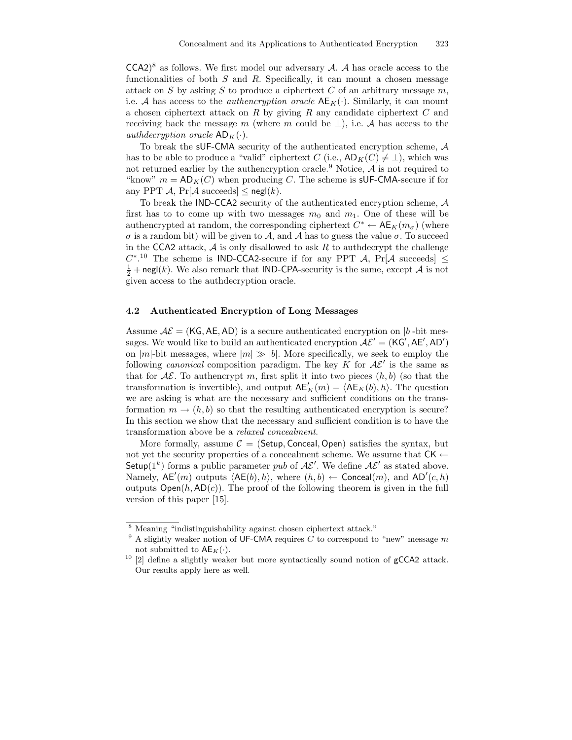$CCA2$ <sup>8</sup> as follows. We first model our adversary  $A$ .  $A$  has oracle access to the functionalities of both  $S$  and  $R$ . Specifically, it can mount a chosen message attack on S by asking S to produce a ciphertext C of an arbitrary message  $m$ , i.e. A has access to the *authencryption oracle*  $AE_K(\cdot)$ . Similarly, it can mount a chosen ciphertext attack on  $R$  by giving  $R$  any candidate ciphertext  $C$  and receiving back the message m (where m could be  $\perp$ ), i.e. A has access to the authedcryption oracle  $AD_K(\cdot)$ .

To break the sUF-CMA security of the authenticated encryption scheme, A has to be able to produce a "valid" ciphertext C (i.e.,  $AD_K(C) \neq \bot$ ), which was not returned earlier by the authencryption oracle.<sup>9</sup> Notice,  $A$  is not required to "know"  $m = AD_K(C)$  when producing C. The scheme is sUF-CMA-secure if for any PPT A, Pr[A succeeds]  $\leq$  negl(k).

To break the IND-CCA2 security of the authenticated encryption scheme, A first has to to come up with two messages  $m_0$  and  $m_1$ . One of these will be authencrypted at random, the corresponding ciphertext  $C^* \leftarrow \mathsf{AE}_K(m_\sigma)$  (where  $\sigma$  is a random bit) will be given to A, and A has to guess the value  $\sigma$ . To succeed in the CCA2 attack,  $A$  is only disallowed to ask  $R$  to authdecrypt the challenge  $C^*$ <sup>10</sup> The scheme is IND-CCA2-secure if for any PPT A, Pr[A succeeds]  $\leq$  $\frac{1}{2}$  + negl(k). We also remark that IND-CPA-security is the same, except A is not given access to the authdecryption oracle.

#### 4.2 Authenticated Encryption of Long Messages

Assume  $A\mathcal{E} = (K\mathsf{G}, \mathsf{A}\mathsf{E}, \mathsf{A}\mathsf{D})$  is a secure authenticated encryption on |b|-bit messages. We would like to build an authenticated encryption  $AC' = (KG', AE', AD')$ on |m|-bit messages, where  $|m| \gg |b|$ . More specifically, we seek to employ the following *canonical* composition paradigm. The key  $K$  for  $AE'$  is the same as that for  $A\mathcal{E}$ . To authencrypt m, first split it into two pieces  $(h, b)$  (so that the transformation is invertible), and output  $AE'_{K}(m) = \langle AE_{K}(b), h \rangle$ . The question we are asking is what are the necessary and sufficient conditions on the transformation  $m \to (h, b)$  so that the resulting authenticated encryption is secure? In this section we show that the necessary and sufficient condition is to have the transformation above be a relaxed concealment.

More formally, assume  $C = (Setup, Conceal, Open)$  satisfies the syntax, but not yet the security properties of a concealment scheme. We assume that  $CK \leftarrow$ Setup( $1^k$ ) forms a public parameter *pub* of  $A\mathcal{E}'$ . We define  $A\mathcal{E}'$  as stated above. Namely,  $AE'(m)$  outputs  $\langle AE(b), h \rangle$ , where  $(h, b) \leftarrow$  Conceal $(m)$ , and  $AD'(c, h)$ outputs  $Open(h, AD(c))$ . The proof of the following theorem is given in the full version of this paper [15].

<sup>8</sup> Meaning "indistinguishability against chosen ciphertext attack."

 $^9$  A slightly weaker notion of  $\mathsf{UF\text{-}CMA}$  requires  $C$  to correspond to "new" message  $m$ not submitted to  $AE_K(\cdot)$ .

 $10$  [2] define a slightly weaker but more syntactically sound notion of  $gCCA2$  attack. Our results apply here as well.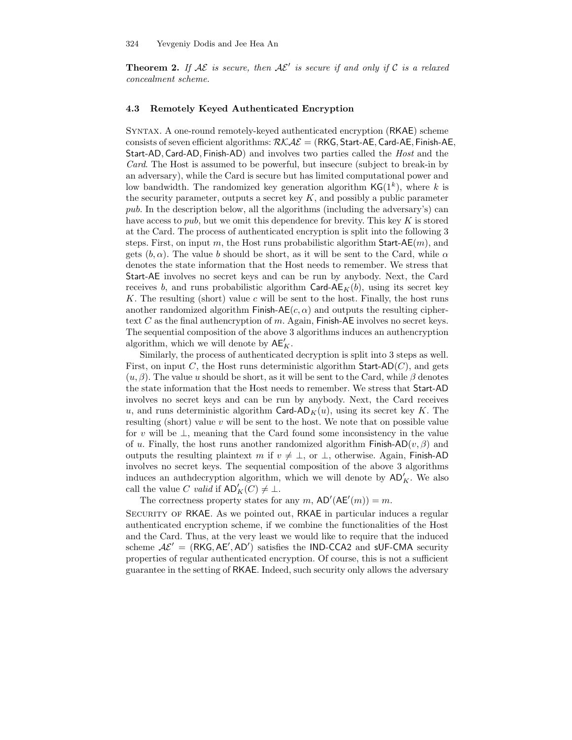**Theorem 2.** If  $A\mathcal{E}$  is secure, then  $A\mathcal{E}'$  is secure if and only if C is a relaxed concealment scheme.

#### 4.3 Remotely Keyed Authenticated Encryption

Syntax. A one-round remotely-keyed authenticated encryption (RKAE) scheme consists of seven efficient algorithms:  $RK\mathcal{A}\mathcal{E} = (RKG, Start-AE, Card-AE, Finish-AE,$ Start-AD, Card-AD, Finish-AD) and involves two parties called the Host and the Card. The Host is assumed to be powerful, but insecure (subject to break-in by an adversary), while the Card is secure but has limited computational power and low bandwidth. The randomized key generation algorithm  $\mathsf{KG}(1^k)$ , where k is the security parameter, outputs a secret key  $K$ , and possibly a public parameter pub. In the description below, all the algorithms (including the adversary's) can have access to  $pub$ , but we omit this dependence for brevity. This key  $K$  is stored at the Card. The process of authenticated encryption is split into the following 3 steps. First, on input m, the Host runs probabilistic algorithm  $Start-AE(m)$ , and gets  $(b, \alpha)$ . The value b should be short, as it will be sent to the Card, while  $\alpha$ denotes the state information that the Host needs to remember. We stress that Start-AE involves no secret keys and can be run by anybody. Next, the Card receives b, and runs probabilistic algorithm  $\textsf{Card-AE}_{K}(b)$ , using its secret key K. The resulting (short) value  $c$  will be sent to the host. Finally, the host runs another randomized algorithm Finish-AE $(c, \alpha)$  and outputs the resulting ciphertext C as the final authencryption of m. Again, Finish-AE involves no secret keys. The sequential composition of the above 3 algorithms induces an authencryption algorithm, which we will denote by  $AE'_{K}$ .

Similarly, the process of authenticated decryption is split into 3 steps as well. First, on input C, the Host runs deterministic algorithm  $Start-AD(C)$ , and gets  $(u, \beta)$ . The value u should be short, as it will be sent to the Card, while  $\beta$  denotes the state information that the Host needs to remember. We stress that Start-AD involves no secret keys and can be run by anybody. Next, the Card receives u, and runs deterministic algorithm  $\textsf{Card-AD}_K(u)$ , using its secret key K. The resulting (short) value  $v$  will be sent to the host. We note that on possible value for v will be  $\perp$ , meaning that the Card found some inconsistency in the value of u. Finally, the host runs another randomized algorithm Finish-AD( $v, \beta$ ) and outputs the resulting plaintext m if  $v \neq \bot$ , or  $\bot$ , otherwise. Again, Finish-AD involves no secret keys. The sequential composition of the above 3 algorithms induces an author decryption algorithm, which we will denote by  $AD_K'$ . We also call the value C valid if  $AD'_{K}(C) \neq \bot$ .

The correctness property states for any m,  $AD'(AE'(m)) = m$ .

SECURITY OF RKAE. As we pointed out, RKAE in particular induces a regular authenticated encryption scheme, if we combine the functionalities of the Host and the Card. Thus, at the very least we would like to require that the induced scheme  $A\mathcal{E}' = (RKG, AE', AD')$  satisfies the IND-CCA2 and sUF-CMA security properties of regular authenticated encryption. Of course, this is not a sufficient guarantee in the setting of RKAE. Indeed, such security only allows the adversary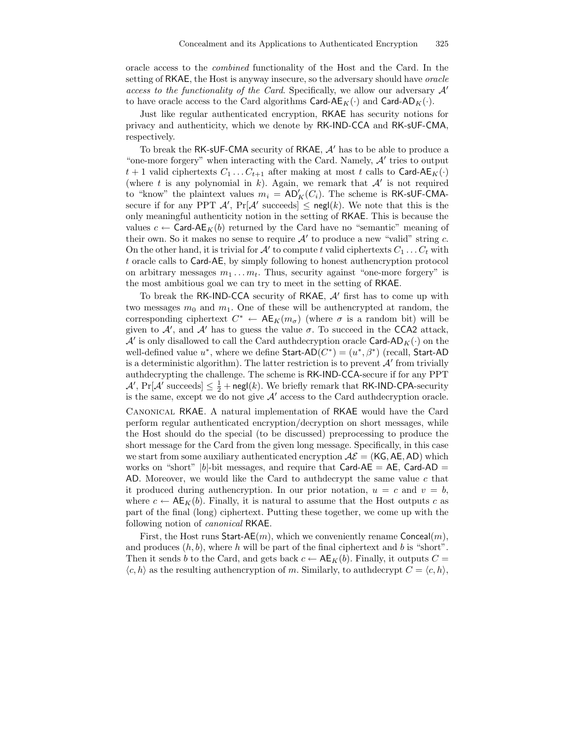oracle access to the combined functionality of the Host and the Card. In the setting of RKAE, the Host is anyway insecure, so the adversary should have *oracle* access to the functionality of the Card. Specifically, we allow our adversary  $\mathcal{A}'$ to have oracle access to the Card algorithms  $\textsf{Card-AE}_K(\cdot)$  and  $\textsf{Card-AD}_K(\cdot)$ .

Just like regular authenticated encryption, RKAE has security notions for privacy and authenticity, which we denote by RK-IND-CCA and RK-sUF-CMA, respectively.

To break the  $RK\text{-}SUF\text{-}CMA$  security of  $RKAE$ ,  $\mathcal{A}'$  has to be able to produce a "one-more forgery" when interacting with the Card. Namely,  $A'$  tries to output  $t + 1$  valid ciphertexts  $C_1 \ldots C_{t+1}$  after making at most t calls to Card-AE<sub>K</sub>(·) (where t is any polynomial in k). Again, we remark that  $A'$  is not required to "know" the plaintext values  $m_i = AD'_{K}(C_i)$ . The scheme is RK-sUF-CMAsecure if for any PPT  $\mathcal{A}'$ , Pr[ $\mathcal{A}'$  succeeds]  $\leq$  negl(k). We note that this is the only meaningful authenticity notion in the setting of RKAE. This is because the values  $c \leftarrow$  Card-AE<sub>K</sub>(b) returned by the Card have no "semantic" meaning of their own. So it makes no sense to require  $A'$  to produce a new "valid" string c. On the other hand, it is trivial for  $\mathcal{A}'$  to compute t valid ciphertexts  $C_1 \ldots C_t$  with t oracle calls to Card-AE, by simply following to honest authencryption protocol on arbitrary messages  $m_1 \ldots m_t$ . Thus, security against "one-more forgery" is the most ambitious goal we can try to meet in the setting of RKAE.

To break the RK-IND-CCA security of RKAE,  $A'$  first has to come up with two messages  $m_0$  and  $m_1$ . One of these will be authencrypted at random, the corresponding ciphertext  $C^* \leftarrow \mathsf{AE}_K(m_\sigma)$  (where  $\sigma$  is a random bit) will be given to  $\mathcal{A}'$ , and  $\mathcal{A}'$  has to guess the value  $\sigma$ . To succeed in the CCA2 attack,  $\mathcal{A}'$  is only disallowed to call the Card authdecryption oracle Card-AD<sub>K</sub>( $\cdot$ ) on the well-defined value  $u^*$ , where we define Start-AD( $C^*$ ) =  $(u^*, \beta^*)$  (recall, Start-AD is a deterministic algorithm). The latter restriction is to prevent  $\mathcal{A}'$  from trivially authdecrypting the challenge. The scheme is RK-IND-CCA-secure if for any PPT  $\mathcal{A}', \Pr[\mathcal{A}' \text{ succeeds}] \leq \frac{1}{2} + \mathsf{negl}(k)$ . We briefly remark that RK-IND-CPA-security is the same, except we do not give  $A'$  access to the Card authorization oracle.

Canonical RKAE. A natural implementation of RKAE would have the Card perform regular authenticated encryption/decryption on short messages, while the Host should do the special (to be discussed) preprocessing to produce the short message for the Card from the given long message. Specifically, in this case we start from some auxiliary authenticated encryption  $A\mathcal{E} = (KG, AE, AD)$  which works on "short" |b|-bit messages, and require that  $Card-AE = AE$ ,  $Card-AD =$ AD. Moreover, we would like the Card to authdecrypt the same value c that it produced during authencryption. In our prior notation,  $u = c$  and  $v = b$ , where  $c \leftarrow \mathsf{AE}_K(b)$ . Finally, it is natural to assume that the Host outputs c as part of the final (long) ciphertext. Putting these together, we come up with the following notion of canonical RKAE.

First, the Host runs Start-AE $(m)$ , which we conveniently rename Conceal $(m)$ , and produces  $(h, b)$ , where h will be part of the final ciphertext and b is "short". Then it sends b to the Card, and gets back  $c \leftarrow \mathsf{AE}_K(b)$ . Finally, it outputs  $C =$  $\langle c, h \rangle$  as the resulting authencryption of m. Similarly, to authorize  $C = \langle c, h \rangle$ ,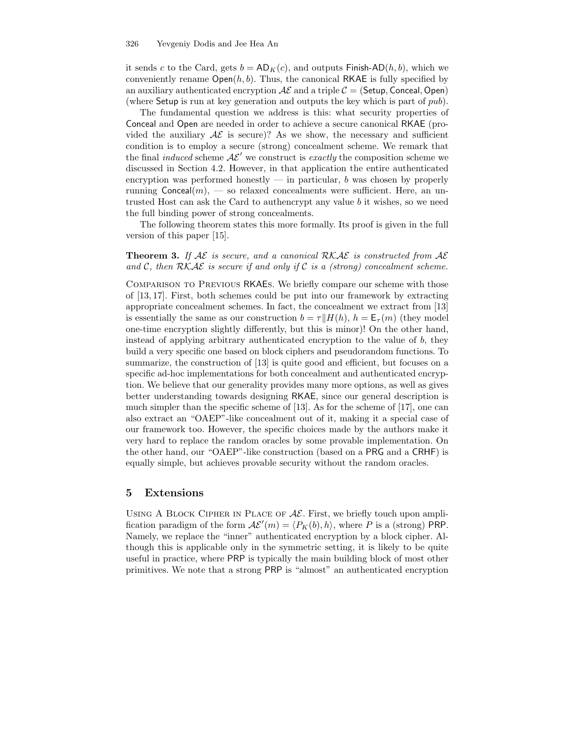it sends c to the Card, gets  $b = AD_K(c)$ , and outputs Finish-AD $(h, b)$ , which we conveniently rename  $Open(h, b)$ . Thus, the canonical RKAE is fully specified by an auxiliary authenticated encryption  $\mathcal{AE}$  and a triple  $\mathcal{C} =$  (Setup, Conceal, Open) (where Setup is run at key generation and outputs the key which is part of pub).

The fundamental question we address is this: what security properties of Conceal and Open are needed in order to achieve a secure canonical RKAE (provided the auxiliary  $A\mathcal{E}$  is secure)? As we show, the necessary and sufficient condition is to employ a secure (strong) concealment scheme. We remark that the final *induced* scheme  $A\mathcal{E}'$  we construct is *exactly* the composition scheme we discussed in Section 4.2. However, in that application the entire authenticated encryption was performed honestly  $-$  in particular, b was chosen by properly running  $Conceal(m)$ , — so relaxed concealments were sufficient. Here, an untrusted Host can ask the Card to authencrypt any value b it wishes, so we need the full binding power of strong concealments.

The following theorem states this more formally. Its proof is given in the full version of this paper [15].

## **Theorem 3.** If  $A\mathcal{E}$  is secure, and a canonical  $RKAE$  is constructed from  $A\mathcal{E}$ and  $\mathcal{C}$ , then  $\mathcal{RKAE}$  is secure if and only if  $\mathcal{C}$  is a (strong) concealment scheme.

Comparison to Previous RKAEs. We briefly compare our scheme with those of [13, 17]. First, both schemes could be put into our framework by extracting appropriate concealment schemes. In fact, the concealment we extract from [13] is essentially the same as our construction  $b = \tau || H(h)$ ,  $h = E_{\tau}(m)$  (they model one-time encryption slightly differently, but this is minor)! On the other hand, instead of applying arbitrary authenticated encryption to the value of b, they build a very specific one based on block ciphers and pseudorandom functions. To summarize, the construction of [13] is quite good and efficient, but focuses on a specific ad-hoc implementations for both concealment and authenticated encryption. We believe that our generality provides many more options, as well as gives better understanding towards designing RKAE, since our general description is much simpler than the specific scheme of [13]. As for the scheme of [17], one can also extract an "OAEP"-like concealment out of it, making it a special case of our framework too. However, the specific choices made by the authors make it very hard to replace the random oracles by some provable implementation. On the other hand, our "OAEP"-like construction (based on a PRG and a CRHF) is equally simple, but achieves provable security without the random oracles.

## 5 Extensions

USING A BLOCK CIPHER IN PLACE OF  $AE$ . First, we briefly touch upon amplification paradigm of the form  $\mathcal{AE}'(m) = \langle P_K(b), h \rangle$ , where P is a (strong) PRP. Namely, we replace the "inner" authenticated encryption by a block cipher. Although this is applicable only in the symmetric setting, it is likely to be quite useful in practice, where PRP is typically the main building block of most other primitives. We note that a strong PRP is "almost" an authenticated encryption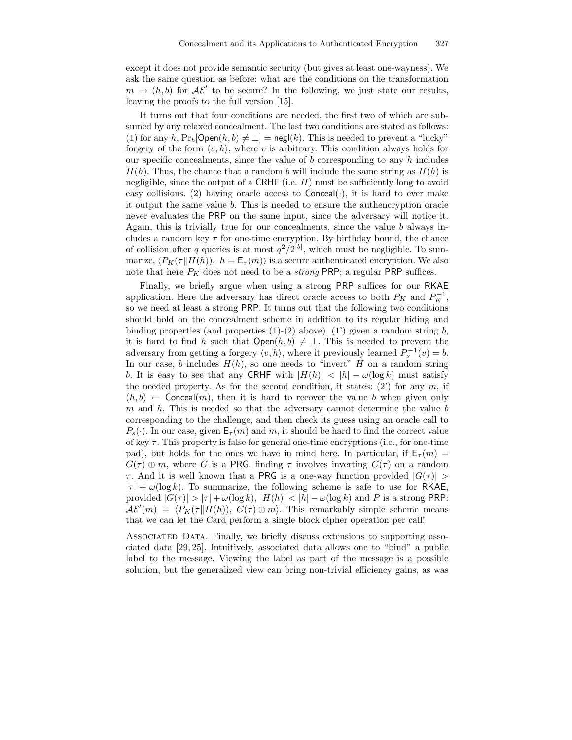except it does not provide semantic security (but gives at least one-wayness). We ask the same question as before: what are the conditions on the transformation  $m \to (h, b)$  for  $\mathcal{AE}'$  to be secure? In the following, we just state our results, leaving the proofs to the full version [15].

It turns out that four conditions are needed, the first two of which are subsumed by any relaxed concealment. The last two conditions are stated as follows: (1) for any h,  $Pr_b[Open(h, b) \neq \perp] = negl(k)$ . This is needed to prevent a "lucky" forgery of the form  $\langle v, h \rangle$ , where v is arbitrary. This condition always holds for our specific concealments, since the value of  $b$  corresponding to any  $h$  includes  $H(h)$ . Thus, the chance that a random b will include the same string as  $H(h)$  is negligible, since the output of a CRHF (i.e.  $H$ ) must be sufficiently long to avoid easy collisions. (2) having oracle access to  $Conceal(\cdot)$ , it is hard to ever make it output the same value b. This is needed to ensure the authencryption oracle never evaluates the PRP on the same input, since the adversary will notice it. Again, this is trivially true for our concealments, since the value b always includes a random key  $\tau$  for one-time encryption. By birthday bound, the chance of collision after q queries is at most  $q^2/2^{|b|}$ , which must be negligible. To summarize,  $\langle P_K(\tau || H(h)) \rangle$ ,  $h = \mathsf{E}_{\tau}(m)$  is a secure authenticated encryption. We also note that here  $P_K$  does not need to be a *strong* PRP; a regular PRP suffices.

Finally, we briefly argue when using a strong PRP suffices for our RKAE application. Here the adversary has direct oracle access to both  $P_K$  and  $P_K^{-1}$ , so we need at least a strong PRP. It turns out that the following two conditions should hold on the concealment scheme in addition to its regular hiding and binding properties (and properties  $(1)-(2)$  above).  $(1')$  given a random string b, it is hard to find h such that  $Open(h, b) \neq \perp$ . This is needed to prevent the adversary from getting a forgery  $\langle v, h \rangle$ , where it previously learned  $P_s^{-1}(v) = b$ . In our case, b includes  $H(h)$ , so one needs to "invert" H on a random string b. It is easy to see that any CRHF with  $|H(h)| < |h| - \omega(\log k)$  must satisfy the needed property. As for the second condition, it states:  $(2')$  for any m, if  $(h, b) \leftarrow$  Conceal $(m)$ , then it is hard to recover the value b when given only  $m$  and  $h$ . This is needed so that the adversary cannot determine the value  $b$ corresponding to the challenge, and then check its guess using an oracle call to  $P_s(\cdot)$ . In our case, given  $\mathsf{E}_{\tau}(m)$  and m, it should be hard to find the correct value of key  $\tau$ . This property is false for general one-time encryptions (i.e., for one-time pad), but holds for the ones we have in mind here. In particular, if  $E_{\tau}(m)$  =  $G(\tau) \oplus m$ , where G is a PRG, finding  $\tau$  involves inverting  $G(\tau)$  on a random  $\tau$ . And it is well known that a PRG is a one-way function provided  $|G(\tau)| >$  $|\tau| + \omega(\log k)$ . To summarize, the following scheme is safe to use for RKAE, provided  $|G(\tau)| > |\tau| + \omega(\log k)$ ,  $|H(h)| < |h| - \omega(\log k)$  and P is a strong PRP:  $\mathcal{AE}'(m) = \langle P_K(\tau | H(h)), G(\tau) \oplus m \rangle$ . This remarkably simple scheme means that we can let the Card perform a single block cipher operation per call!

Associated Data. Finally, we briefly discuss extensions to supporting associated data [29, 25]. Intuitively, associated data allows one to "bind" a public label to the message. Viewing the label as part of the message is a possible solution, but the generalized view can bring non-trivial efficiency gains, as was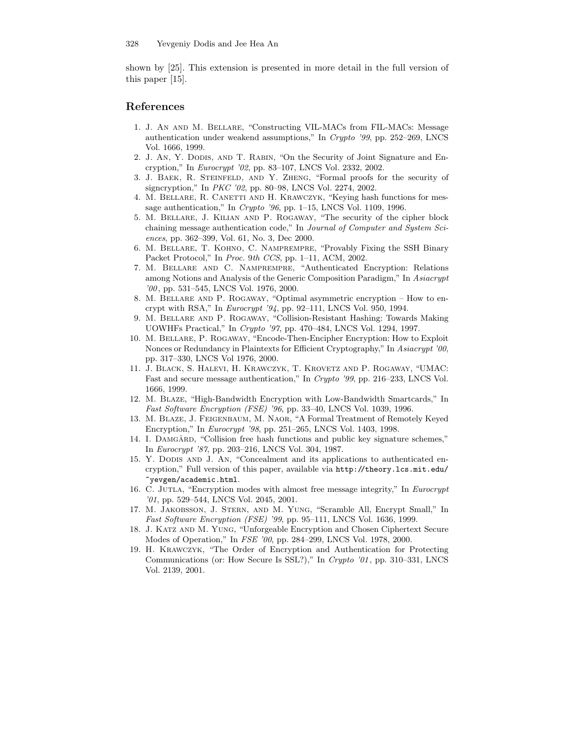shown by [25]. This extension is presented in more detail in the full version of this paper [15].

# References

- 1. J. An and M. Bellare, "Constructing VIL-MACs from FIL-MACs: Message authentication under weakend assumptions," In Crypto '99, pp. 252–269, LNCS Vol. 1666, 1999.
- 2. J. An, Y. Dodis, and T. Rabin, "On the Security of Joint Signature and Encryption," In Eurocrypt '02, pp. 83–107, LNCS Vol. 2332, 2002.
- 3. J. Baek, R. Steinfeld, and Y. Zheng, "Formal proofs for the security of signcryption," In PKC '02, pp. 80–98, LNCS Vol. 2274, 2002.
- 4. M. Bellare, R. Canetti and H. Krawczyk, "Keying hash functions for message authentication," In Crypto '96, pp. 1–15, LNCS Vol. 1109, 1996.
- 5. M. Bellare, J. Kilian and P. Rogaway, "The security of the cipher block chaining message authentication code," In Journal of Computer and System Sciences, pp. 362–399, Vol. 61, No. 3, Dec 2000.
- 6. M. Bellare, T. Kohno, C. Namprempre, "Provably Fixing the SSH Binary Packet Protocol," In Proc. 9th CCS, pp. 1–11, ACM, 2002.
- 7. M. Bellare and C. Namprempre, "Authenticated Encryption: Relations among Notions and Analysis of the Generic Composition Paradigm," In Asiacrypt '00, pp. 531–545, LNCS Vol. 1976, 2000.
- 8. M. Bellare and P. Rogaway, "Optimal asymmetric encryption How to encrypt with RSA," In Eurocrypt '94, pp. 92–111, LNCS Vol. 950, 1994.
- 9. M. Bellare and P. Rogaway, "Collision-Resistant Hashing: Towards Making UOWHFs Practical," In Crypto '97, pp. 470–484, LNCS Vol. 1294, 1997.
- 10. M. Bellare, P. Rogaway, "Encode-Then-Encipher Encryption: How to Exploit Nonces or Redundancy in Plaintexts for Efficient Cryptography," In Asiacrypt '00, pp. 317–330, LNCS Vol 1976, 2000.
- 11. J. Black, S. Halevi, H. Krawczyk, T. Krovetz and P. Rogaway, "UMAC: Fast and secure message authentication," In Crypto '99, pp. 216–233, LNCS Vol. 1666, 1999.
- 12. M. Blaze, "High-Bandwidth Encryption with Low-Bandwidth Smartcards," In Fast Software Encryption (FSE) '96, pp. 33–40, LNCS Vol. 1039, 1996.
- 13. M. Blaze, J. Feigenbaum, M. Naor, "A Formal Treatment of Remotely Keyed Encryption," In Eurocrypt '98, pp. 251–265, LNCS Vol. 1403, 1998.
- 14. I. Damg˚ard, "Collision free hash functions and public key signature schemes," In Eurocrypt '87, pp. 203–216, LNCS Vol. 304, 1987.
- 15. Y. Dodis and J. An, "Concealment and its applications to authenticated encryption," Full version of this paper, available via http://theory.lcs.mit.edu/ ~yevgen/academic.html.
- 16. C. JUTLA, "Encryption modes with almost free message integrity," In Eurocrypt '01, pp. 529–544, LNCS Vol. 2045, 2001.
- 17. M. Jakobsson, J. Stern, and M. Yung, "Scramble All, Encrypt Small," In Fast Software Encryption (FSE) '99, pp. 95–111, LNCS Vol. 1636, 1999.
- 18. J. Katz and M. Yung, "Unforgeable Encryption and Chosen Ciphertext Secure Modes of Operation," In FSE '00, pp. 284–299, LNCS Vol. 1978, 2000.
- 19. H. Krawczyk, "The Order of Encryption and Authentication for Protecting Communications (or: How Secure Is SSL?)," In Crypto '01, pp. 310-331, LNCS Vol. 2139, 2001.